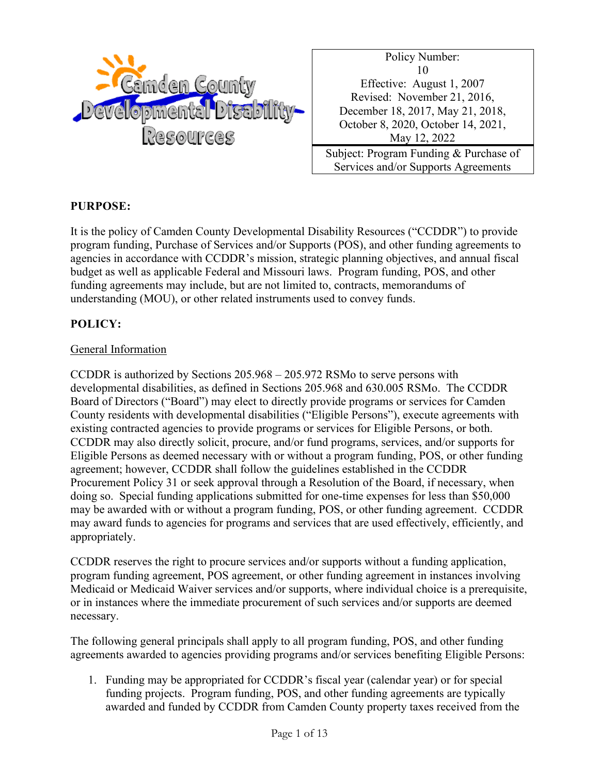

Policy Number: 10 Effective: August 1, 2007 Revised: November 21, 2016, December 18, 2017, May 21, 2018, October 8, 2020, October 14, 2021, May 12, 2022 Subject: Program Funding & Purchase of

Services and/or Supports Agreements

### **PURPOSE:**

It is the policy of Camden County Developmental Disability Resources ("CCDDR") to provide program funding, Purchase of Services and/or Supports (POS), and other funding agreements to agencies in accordance with CCDDR's mission, strategic planning objectives, and annual fiscal budget as well as applicable Federal and Missouri laws. Program funding, POS, and other funding agreements may include, but are not limited to, contracts, memorandums of understanding (MOU), or other related instruments used to convey funds.

### **POLICY:**

### General Information

CCDDR is authorized by Sections 205.968 – 205.972 RSMo to serve persons with developmental disabilities, as defined in Sections 205.968 and 630.005 RSMo. The CCDDR Board of Directors ("Board") may elect to directly provide programs or services for Camden County residents with developmental disabilities ("Eligible Persons"), execute agreements with existing contracted agencies to provide programs or services for Eligible Persons, or both. CCDDR may also directly solicit, procure, and/or fund programs, services, and/or supports for Eligible Persons as deemed necessary with or without a program funding, POS, or other funding agreement; however, CCDDR shall follow the guidelines established in the CCDDR Procurement Policy 31 or seek approval through a Resolution of the Board, if necessary, when doing so. Special funding applications submitted for one-time expenses for less than \$50,000 may be awarded with or without a program funding, POS, or other funding agreement. CCDDR may award funds to agencies for programs and services that are used effectively, efficiently, and appropriately.

CCDDR reserves the right to procure services and/or supports without a funding application, program funding agreement, POS agreement, or other funding agreement in instances involving Medicaid or Medicaid Waiver services and/or supports, where individual choice is a prerequisite, or in instances where the immediate procurement of such services and/or supports are deemed necessary.

The following general principals shall apply to all program funding, POS, and other funding agreements awarded to agencies providing programs and/or services benefiting Eligible Persons:

1. Funding may be appropriated for CCDDR's fiscal year (calendar year) or for special funding projects. Program funding, POS, and other funding agreements are typically awarded and funded by CCDDR from Camden County property taxes received from the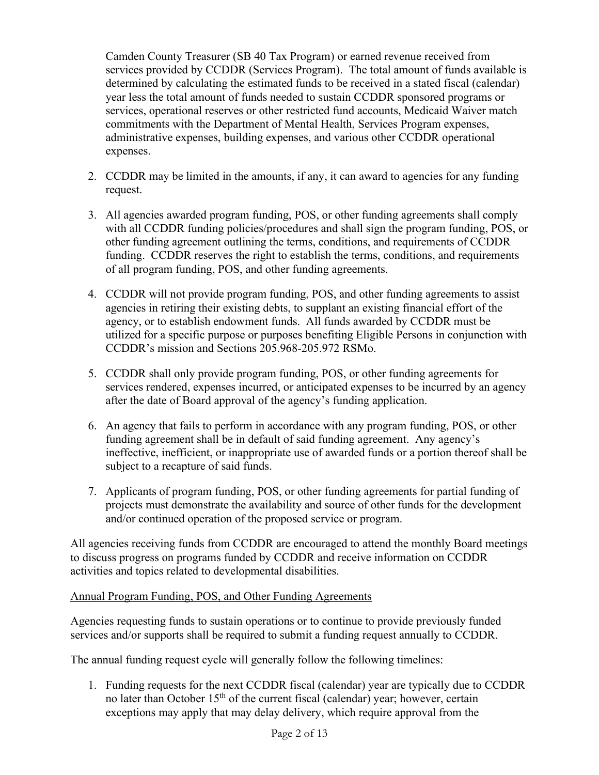Camden County Treasurer (SB 40 Tax Program) or earned revenue received from services provided by CCDDR (Services Program). The total amount of funds available is determined by calculating the estimated funds to be received in a stated fiscal (calendar) year less the total amount of funds needed to sustain CCDDR sponsored programs or services, operational reserves or other restricted fund accounts, Medicaid Waiver match commitments with the Department of Mental Health, Services Program expenses, administrative expenses, building expenses, and various other CCDDR operational expenses.

- 2. CCDDR may be limited in the amounts, if any, it can award to agencies for any funding request.
- 3. All agencies awarded program funding, POS, or other funding agreements shall comply with all CCDDR funding policies/procedures and shall sign the program funding, POS, or other funding agreement outlining the terms, conditions, and requirements of CCDDR funding. CCDDR reserves the right to establish the terms, conditions, and requirements of all program funding, POS, and other funding agreements.
- 4. CCDDR will not provide program funding, POS, and other funding agreements to assist agencies in retiring their existing debts, to supplant an existing financial effort of the agency, or to establish endowment funds. All funds awarded by CCDDR must be utilized for a specific purpose or purposes benefiting Eligible Persons in conjunction with CCDDR's mission and Sections 205.968-205.972 RSMo.
- 5. CCDDR shall only provide program funding, POS, or other funding agreements for services rendered, expenses incurred, or anticipated expenses to be incurred by an agency after the date of Board approval of the agency's funding application.
- 6. An agency that fails to perform in accordance with any program funding, POS, or other funding agreement shall be in default of said funding agreement. Any agency's ineffective, inefficient, or inappropriate use of awarded funds or a portion thereof shall be subject to a recapture of said funds.
- 7. Applicants of program funding, POS, or other funding agreements for partial funding of projects must demonstrate the availability and source of other funds for the development and/or continued operation of the proposed service or program.

All agencies receiving funds from CCDDR are encouraged to attend the monthly Board meetings to discuss progress on programs funded by CCDDR and receive information on CCDDR activities and topics related to developmental disabilities.

# Annual Program Funding, POS, and Other Funding Agreements

Agencies requesting funds to sustain operations or to continue to provide previously funded services and/or supports shall be required to submit a funding request annually to CCDDR.

The annual funding request cycle will generally follow the following timelines:

1. Funding requests for the next CCDDR fiscal (calendar) year are typically due to CCDDR no later than October  $15<sup>th</sup>$  of the current fiscal (calendar) year; however, certain exceptions may apply that may delay delivery, which require approval from the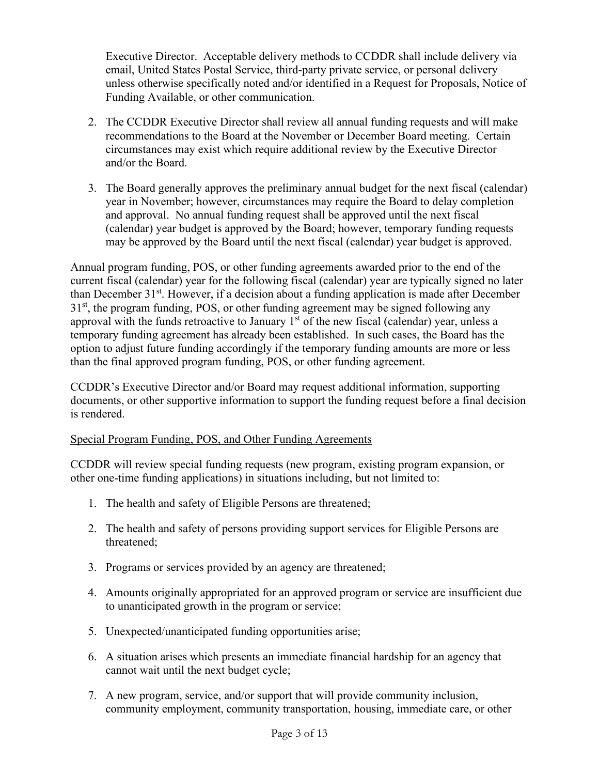Executive Director. Acceptable delivery methods to CCDDR shall include delivery via email, United States Postal Service, third-party private service, or personal delivery unless otherwise specifically noted and/or identified in a Request for Proposals, Notice of Funding Available, or other communication.

- 2. The CCDDR Executive Director shall review all annual funding requests and will make recommendations to the Board at the November or December Board meeting. Certain circumstances may exist which require additional review by the Executive Director and/or the Board.
- 3. The Board generally approves the preliminary annual budget for the next fiscal (calendar) year in November; however, circumstances may require the Board to delay completion and approval. No annual funding request shall be approved until the next fiscal (calendar) year budget is approved by the Board; however, temporary funding requests may be approved by the Board until the next fiscal (calendar) year budget is approved.

Annual program funding, POS, or other funding agreements awarded prior to the end of the current fiscal (calendar) year for the following fiscal (calendar) year are typically signed no later than December 31<sup>st</sup>. However, if a decision about a funding application is made after December 31<sup>st</sup>, the program funding, POS, or other funding agreement may be signed following any approval with the funds retroactive to January  $1<sup>st</sup>$  of the new fiscal (calendar) year, unless a temporary funding agreement has already been established. In such cases, the Board has the option to adjust future funding accordingly if the temporary funding amounts are more or less than the final approved program funding, POS, or other funding agreement.

CCDDR's Executive Director and/or Board may request additional information, supporting documents, or other supportive information to support the funding request before a final decision is rendered.

# Special Program Funding, POS, and Other Funding Agreements

CCDDR will review special funding requests (new program, existing program expansion, or other one-time funding applications) in situations including, but not limited to:

- 1. The health and safety of Eligible Persons are threatened;
- 2. The health and safety of persons providing support services for Eligible Persons are threatened;
- 3. Programs or services provided by an agency are threatened;
- 4. Amounts originally appropriated for an approved program or service are insufficient due to unanticipated growth in the program or service;
- 5. Unexpected/unanticipated funding opportunities arise;
- 6. A situation arises which presents an immediate financial hardship for an agency that cannot wait until the next budget cycle;
- 7. A new program, service, and/or support that will provide community inclusion, community employment, community transportation, housing, immediate care, or other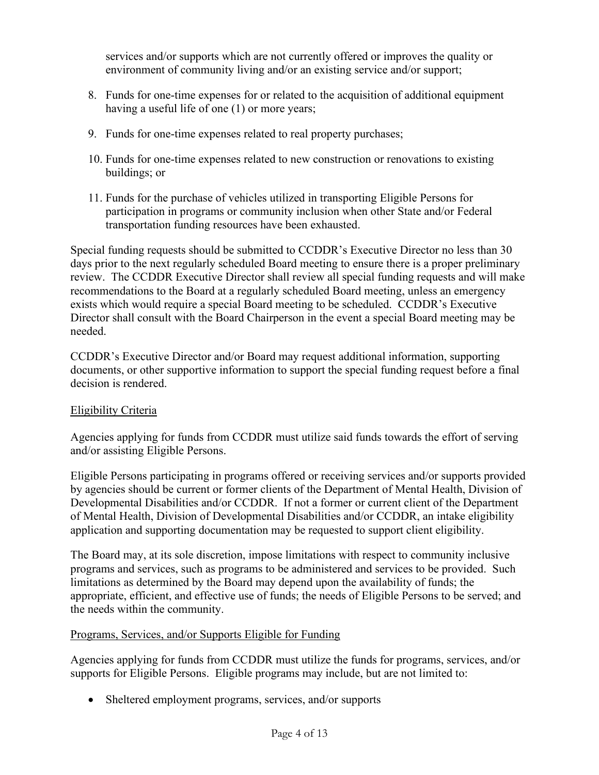services and/or supports which are not currently offered or improves the quality or environment of community living and/or an existing service and/or support;

- 8. Funds for one-time expenses for or related to the acquisition of additional equipment having a useful life of one (1) or more years;
- 9. Funds for one-time expenses related to real property purchases;
- 10. Funds for one-time expenses related to new construction or renovations to existing buildings; or
- 11. Funds for the purchase of vehicles utilized in transporting Eligible Persons for participation in programs or community inclusion when other State and/or Federal transportation funding resources have been exhausted.

Special funding requests should be submitted to CCDDR's Executive Director no less than 30 days prior to the next regularly scheduled Board meeting to ensure there is a proper preliminary review. The CCDDR Executive Director shall review all special funding requests and will make recommendations to the Board at a regularly scheduled Board meeting, unless an emergency exists which would require a special Board meeting to be scheduled. CCDDR's Executive Director shall consult with the Board Chairperson in the event a special Board meeting may be needed.

CCDDR's Executive Director and/or Board may request additional information, supporting documents, or other supportive information to support the special funding request before a final decision is rendered.

# Eligibility Criteria

Agencies applying for funds from CCDDR must utilize said funds towards the effort of serving and/or assisting Eligible Persons.

Eligible Persons participating in programs offered or receiving services and/or supports provided by agencies should be current or former clients of the Department of Mental Health, Division of Developmental Disabilities and/or CCDDR. If not a former or current client of the Department of Mental Health, Division of Developmental Disabilities and/or CCDDR, an intake eligibility application and supporting documentation may be requested to support client eligibility.

The Board may, at its sole discretion, impose limitations with respect to community inclusive programs and services, such as programs to be administered and services to be provided. Such limitations as determined by the Board may depend upon the availability of funds; the appropriate, efficient, and effective use of funds; the needs of Eligible Persons to be served; and the needs within the community.

# Programs, Services, and/or Supports Eligible for Funding

Agencies applying for funds from CCDDR must utilize the funds for programs, services, and/or supports for Eligible Persons. Eligible programs may include, but are not limited to:

• Sheltered employment programs, services, and/or supports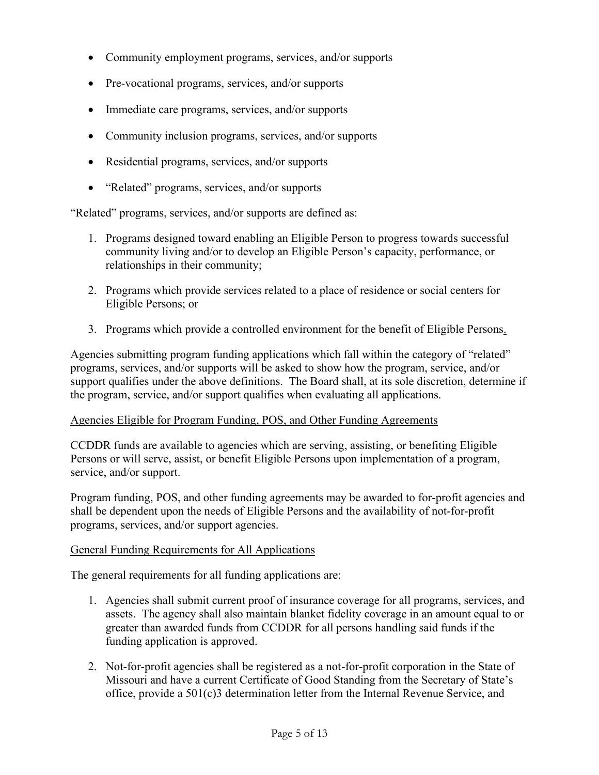- Community employment programs, services, and/or supports
- Pre-vocational programs, services, and/or supports
- Immediate care programs, services, and/or supports
- Community inclusion programs, services, and/or supports
- Residential programs, services, and/or supports
- "Related" programs, services, and/or supports

"Related" programs, services, and/or supports are defined as:

- 1. Programs designed toward enabling an Eligible Person to progress towards successful community living and/or to develop an Eligible Person's capacity, performance, or relationships in their community;
- 2. Programs which provide services related to a place of residence or social centers for Eligible Persons; or
- 3. Programs which provide a controlled environment for the benefit of Eligible Persons.

Agencies submitting program funding applications which fall within the category of "related" programs, services, and/or supports will be asked to show how the program, service, and/or support qualifies under the above definitions. The Board shall, at its sole discretion, determine if the program, service, and/or support qualifies when evaluating all applications.

### Agencies Eligible for Program Funding, POS, and Other Funding Agreements

CCDDR funds are available to agencies which are serving, assisting, or benefiting Eligible Persons or will serve, assist, or benefit Eligible Persons upon implementation of a program, service, and/or support.

Program funding, POS, and other funding agreements may be awarded to for-profit agencies and shall be dependent upon the needs of Eligible Persons and the availability of not-for-profit programs, services, and/or support agencies.

### General Funding Requirements for All Applications

The general requirements for all funding applications are:

- 1. Agencies shall submit current proof of insurance coverage for all programs, services, and assets. The agency shall also maintain blanket fidelity coverage in an amount equal to or greater than awarded funds from CCDDR for all persons handling said funds if the funding application is approved.
- 2. Not-for-profit agencies shall be registered as a not-for-profit corporation in the State of Missouri and have a current Certificate of Good Standing from the Secretary of State's office, provide a 501(c)3 determination letter from the Internal Revenue Service, and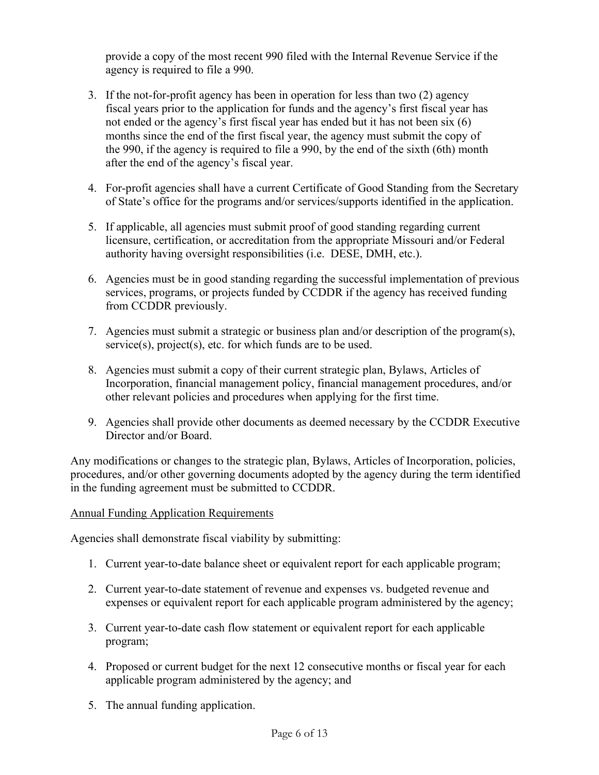provide a copy of the most recent 990 filed with the Internal Revenue Service if the agency is required to file a 990.

- 3. If the not-for-profit agency has been in operation for less than two (2) agency fiscal years prior to the application for funds and the agency's first fiscal year has not ended or the agency's first fiscal year has ended but it has not been six (6) months since the end of the first fiscal year, the agency must submit the copy of the 990, if the agency is required to file a 990, by the end of the sixth (6th) month after the end of the agency's fiscal year.
- 4. For-profit agencies shall have a current Certificate of Good Standing from the Secretary of State's office for the programs and/or services/supports identified in the application.
- 5. If applicable, all agencies must submit proof of good standing regarding current licensure, certification, or accreditation from the appropriate Missouri and/or Federal authority having oversight responsibilities (i.e. DESE, DMH, etc.).
- 6. Agencies must be in good standing regarding the successful implementation of previous services, programs, or projects funded by CCDDR if the agency has received funding from CCDDR previously.
- 7. Agencies must submit a strategic or business plan and/or description of the program(s), service(s), project(s), etc. for which funds are to be used.
- 8. Agencies must submit a copy of their current strategic plan, Bylaws, Articles of Incorporation, financial management policy, financial management procedures, and/or other relevant policies and procedures when applying for the first time.
- 9. Agencies shall provide other documents as deemed necessary by the CCDDR Executive Director and/or Board.

Any modifications or changes to the strategic plan, Bylaws, Articles of Incorporation, policies, procedures, and/or other governing documents adopted by the agency during the term identified in the funding agreement must be submitted to CCDDR.

# Annual Funding Application Requirements

Agencies shall demonstrate fiscal viability by submitting:

- 1. Current year-to-date balance sheet or equivalent report for each applicable program;
- 2. Current year-to-date statement of revenue and expenses vs. budgeted revenue and expenses or equivalent report for each applicable program administered by the agency;
- 3. Current year-to-date cash flow statement or equivalent report for each applicable program;
- 4. Proposed or current budget for the next 12 consecutive months or fiscal year for each applicable program administered by the agency; and
- 5. The annual funding application.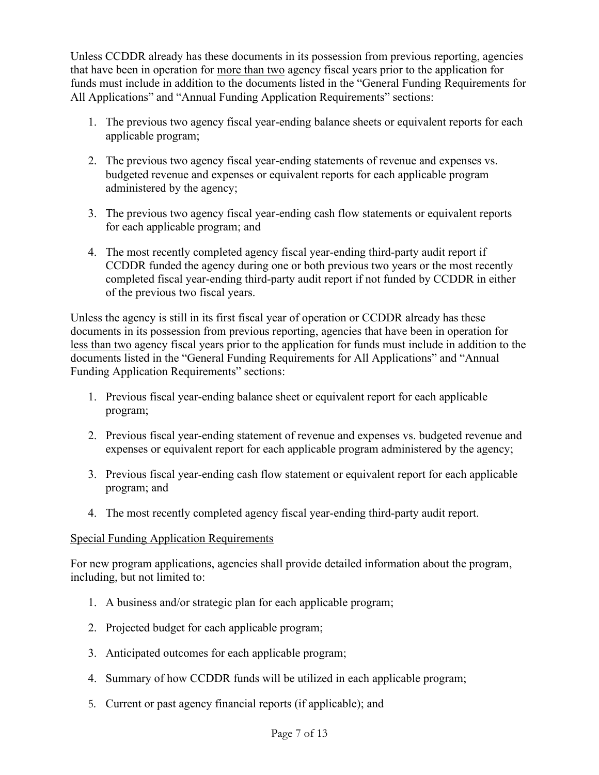Unless CCDDR already has these documents in its possession from previous reporting, agencies that have been in operation for more than two agency fiscal years prior to the application for funds must include in addition to the documents listed in the "General Funding Requirements for All Applications" and "Annual Funding Application Requirements" sections:

- 1. The previous two agency fiscal year-ending balance sheets or equivalent reports for each applicable program;
- 2. The previous two agency fiscal year-ending statements of revenue and expenses vs. budgeted revenue and expenses or equivalent reports for each applicable program administered by the agency;
- 3. The previous two agency fiscal year-ending cash flow statements or equivalent reports for each applicable program; and
- 4. The most recently completed agency fiscal year-ending third-party audit report if CCDDR funded the agency during one or both previous two years or the most recently completed fiscal year-ending third-party audit report if not funded by CCDDR in either of the previous two fiscal years.

Unless the agency is still in its first fiscal year of operation or CCDDR already has these documents in its possession from previous reporting, agencies that have been in operation for less than two agency fiscal years prior to the application for funds must include in addition to the documents listed in the "General Funding Requirements for All Applications" and "Annual Funding Application Requirements" sections:

- 1. Previous fiscal year-ending balance sheet or equivalent report for each applicable program;
- 2. Previous fiscal year-ending statement of revenue and expenses vs. budgeted revenue and expenses or equivalent report for each applicable program administered by the agency;
- 3. Previous fiscal year-ending cash flow statement or equivalent report for each applicable program; and
- 4. The most recently completed agency fiscal year-ending third-party audit report.

# Special Funding Application Requirements

For new program applications, agencies shall provide detailed information about the program, including, but not limited to:

- 1. A business and/or strategic plan for each applicable program;
- 2. Projected budget for each applicable program;
- 3. Anticipated outcomes for each applicable program;
- 4. Summary of how CCDDR funds will be utilized in each applicable program;
- 5. Current or past agency financial reports (if applicable); and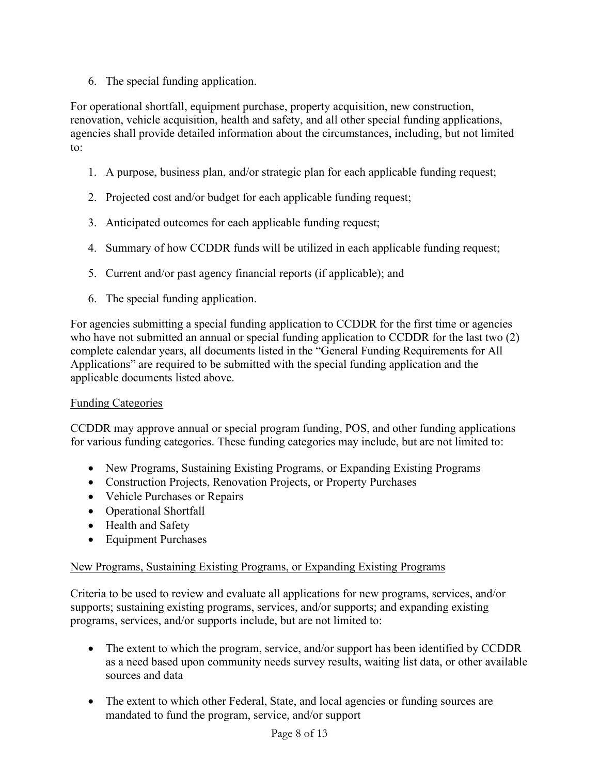6. The special funding application.

For operational shortfall, equipment purchase, property acquisition, new construction, renovation, vehicle acquisition, health and safety, and all other special funding applications, agencies shall provide detailed information about the circumstances, including, but not limited to:

- 1. A purpose, business plan, and/or strategic plan for each applicable funding request;
- 2. Projected cost and/or budget for each applicable funding request;
- 3. Anticipated outcomes for each applicable funding request;
- 4. Summary of how CCDDR funds will be utilized in each applicable funding request;
- 5. Current and/or past agency financial reports (if applicable); and
- 6. The special funding application.

For agencies submitting a special funding application to CCDDR for the first time or agencies who have not submitted an annual or special funding application to CCDDR for the last two (2) complete calendar years, all documents listed in the "General Funding Requirements for All Applications" are required to be submitted with the special funding application and the applicable documents listed above.

# Funding Categories

CCDDR may approve annual or special program funding, POS, and other funding applications for various funding categories. These funding categories may include, but are not limited to:

- New Programs, Sustaining Existing Programs, or Expanding Existing Programs
- Construction Projects, Renovation Projects, or Property Purchases
- Vehicle Purchases or Repairs
- Operational Shortfall
- Health and Safety
- Equipment Purchases

# New Programs, Sustaining Existing Programs, or Expanding Existing Programs

Criteria to be used to review and evaluate all applications for new programs, services, and/or supports; sustaining existing programs, services, and/or supports; and expanding existing programs, services, and/or supports include, but are not limited to:

- The extent to which the program, service, and/or support has been identified by CCDDR as a need based upon community needs survey results, waiting list data, or other available sources and data
- The extent to which other Federal, State, and local agencies or funding sources are mandated to fund the program, service, and/or support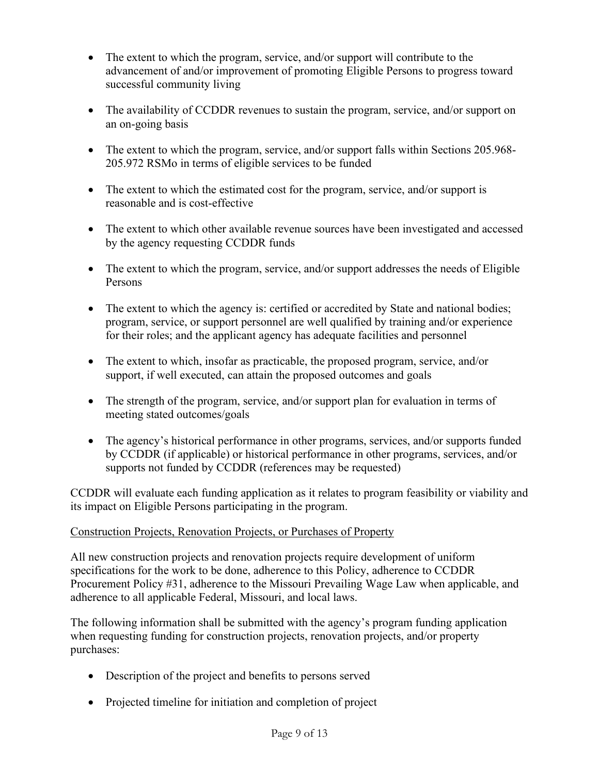- The extent to which the program, service, and/or support will contribute to the advancement of and/or improvement of promoting Eligible Persons to progress toward successful community living
- The availability of CCDDR revenues to sustain the program, service, and/or support on an on-going basis
- The extent to which the program, service, and/or support falls within Sections 205.968-205.972 RSMo in terms of eligible services to be funded
- The extent to which the estimated cost for the program, service, and/or support is reasonable and is cost-effective
- The extent to which other available revenue sources have been investigated and accessed by the agency requesting CCDDR funds
- The extent to which the program, service, and/or support addresses the needs of Eligible Persons
- The extent to which the agency is: certified or accredited by State and national bodies; program, service, or support personnel are well qualified by training and/or experience for their roles; and the applicant agency has adequate facilities and personnel
- The extent to which, insofar as practicable, the proposed program, service, and/or support, if well executed, can attain the proposed outcomes and goals
- The strength of the program, service, and/or support plan for evaluation in terms of meeting stated outcomes/goals
- The agency's historical performance in other programs, services, and/or supports funded by CCDDR (if applicable) or historical performance in other programs, services, and/or supports not funded by CCDDR (references may be requested)

CCDDR will evaluate each funding application as it relates to program feasibility or viability and its impact on Eligible Persons participating in the program.

# Construction Projects, Renovation Projects, or Purchases of Property

All new construction projects and renovation projects require development of uniform specifications for the work to be done, adherence to this Policy, adherence to CCDDR Procurement Policy #31, adherence to the Missouri Prevailing Wage Law when applicable, and adherence to all applicable Federal, Missouri, and local laws.

The following information shall be submitted with the agency's program funding application when requesting funding for construction projects, renovation projects, and/or property purchases:

- Description of the project and benefits to persons served
- Projected timeline for initiation and completion of project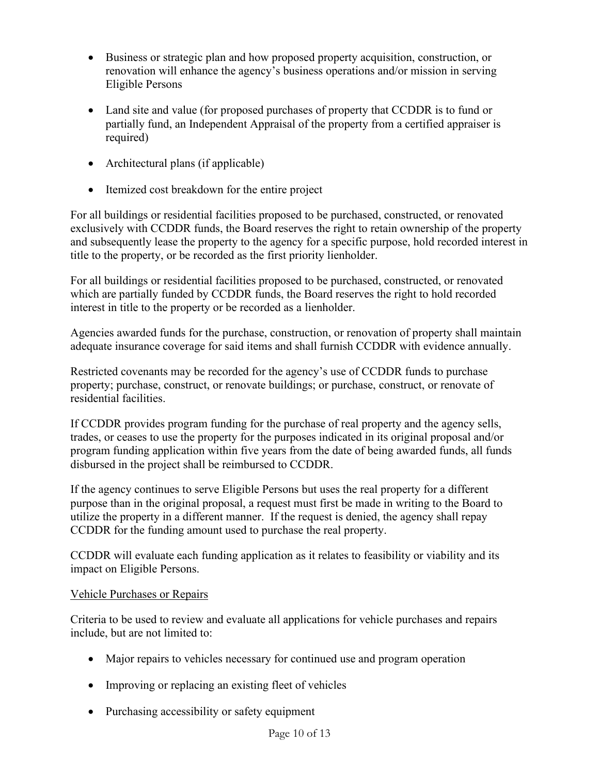- Business or strategic plan and how proposed property acquisition, construction, or renovation will enhance the agency's business operations and/or mission in serving Eligible Persons
- Land site and value (for proposed purchases of property that CCDDR is to fund or partially fund, an Independent Appraisal of the property from a certified appraiser is required)
- Architectural plans (if applicable)
- Itemized cost breakdown for the entire project

For all buildings or residential facilities proposed to be purchased, constructed, or renovated exclusively with CCDDR funds, the Board reserves the right to retain ownership of the property and subsequently lease the property to the agency for a specific purpose, hold recorded interest in title to the property, or be recorded as the first priority lienholder.

For all buildings or residential facilities proposed to be purchased, constructed, or renovated which are partially funded by CCDDR funds, the Board reserves the right to hold recorded interest in title to the property or be recorded as a lienholder.

Agencies awarded funds for the purchase, construction, or renovation of property shall maintain adequate insurance coverage for said items and shall furnish CCDDR with evidence annually.

Restricted covenants may be recorded for the agency's use of CCDDR funds to purchase property; purchase, construct, or renovate buildings; or purchase, construct, or renovate of residential facilities.

If CCDDR provides program funding for the purchase of real property and the agency sells, trades, or ceases to use the property for the purposes indicated in its original proposal and/or program funding application within five years from the date of being awarded funds, all funds disbursed in the project shall be reimbursed to CCDDR.

If the agency continues to serve Eligible Persons but uses the real property for a different purpose than in the original proposal, a request must first be made in writing to the Board to utilize the property in a different manner. If the request is denied, the agency shall repay CCDDR for the funding amount used to purchase the real property.

CCDDR will evaluate each funding application as it relates to feasibility or viability and its impact on Eligible Persons.

# Vehicle Purchases or Repairs

Criteria to be used to review and evaluate all applications for vehicle purchases and repairs include, but are not limited to:

- Major repairs to vehicles necessary for continued use and program operation
- Improving or replacing an existing fleet of vehicles
- Purchasing accessibility or safety equipment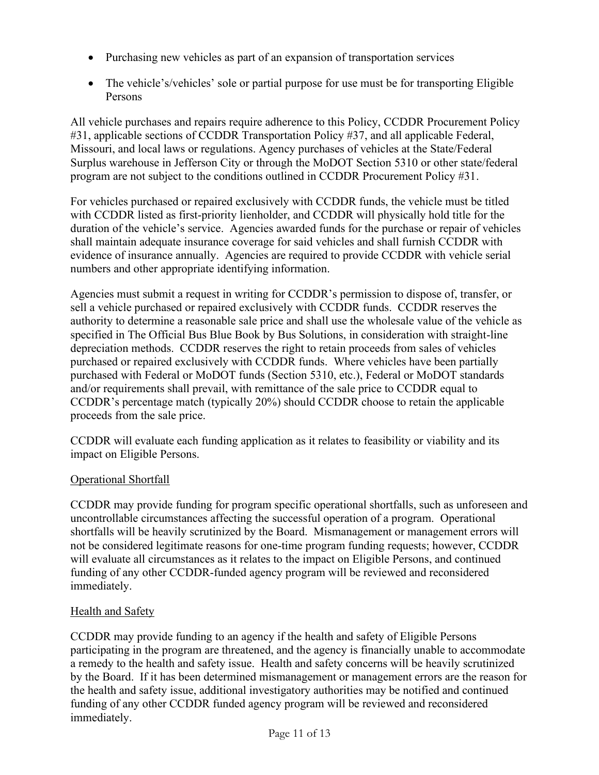- Purchasing new vehicles as part of an expansion of transportation services
- The vehicle's/vehicles' sole or partial purpose for use must be for transporting Eligible Persons

All vehicle purchases and repairs require adherence to this Policy, CCDDR Procurement Policy #31, applicable sections of CCDDR Transportation Policy #37, and all applicable Federal, Missouri, and local laws or regulations. Agency purchases of vehicles at the State/Federal Surplus warehouse in Jefferson City or through the MoDOT Section 5310 or other state/federal program are not subject to the conditions outlined in CCDDR Procurement Policy #31.

For vehicles purchased or repaired exclusively with CCDDR funds, the vehicle must be titled with CCDDR listed as first-priority lienholder, and CCDDR will physically hold title for the duration of the vehicle's service. Agencies awarded funds for the purchase or repair of vehicles shall maintain adequate insurance coverage for said vehicles and shall furnish CCDDR with evidence of insurance annually. Agencies are required to provide CCDDR with vehicle serial numbers and other appropriate identifying information.

Agencies must submit a request in writing for CCDDR's permission to dispose of, transfer, or sell a vehicle purchased or repaired exclusively with CCDDR funds. CCDDR reserves the authority to determine a reasonable sale price and shall use the wholesale value of the vehicle as specified in The Official Bus Blue Book by Bus Solutions, in consideration with straight-line depreciation methods. CCDDR reserves the right to retain proceeds from sales of vehicles purchased or repaired exclusively with CCDDR funds. Where vehicles have been partially purchased with Federal or MoDOT funds (Section 5310, etc.), Federal or MoDOT standards and/or requirements shall prevail, with remittance of the sale price to CCDDR equal to CCDDR's percentage match (typically 20%) should CCDDR choose to retain the applicable proceeds from the sale price.

CCDDR will evaluate each funding application as it relates to feasibility or viability and its impact on Eligible Persons.

# Operational Shortfall

CCDDR may provide funding for program specific operational shortfalls, such as unforeseen and uncontrollable circumstances affecting the successful operation of a program. Operational shortfalls will be heavily scrutinized by the Board. Mismanagement or management errors will not be considered legitimate reasons for one-time program funding requests; however, CCDDR will evaluate all circumstances as it relates to the impact on Eligible Persons, and continued funding of any other CCDDR-funded agency program will be reviewed and reconsidered immediately.

# Health and Safety

CCDDR may provide funding to an agency if the health and safety of Eligible Persons participating in the program are threatened, and the agency is financially unable to accommodate a remedy to the health and safety issue. Health and safety concerns will be heavily scrutinized by the Board. If it has been determined mismanagement or management errors are the reason for the health and safety issue, additional investigatory authorities may be notified and continued funding of any other CCDDR funded agency program will be reviewed and reconsidered immediately.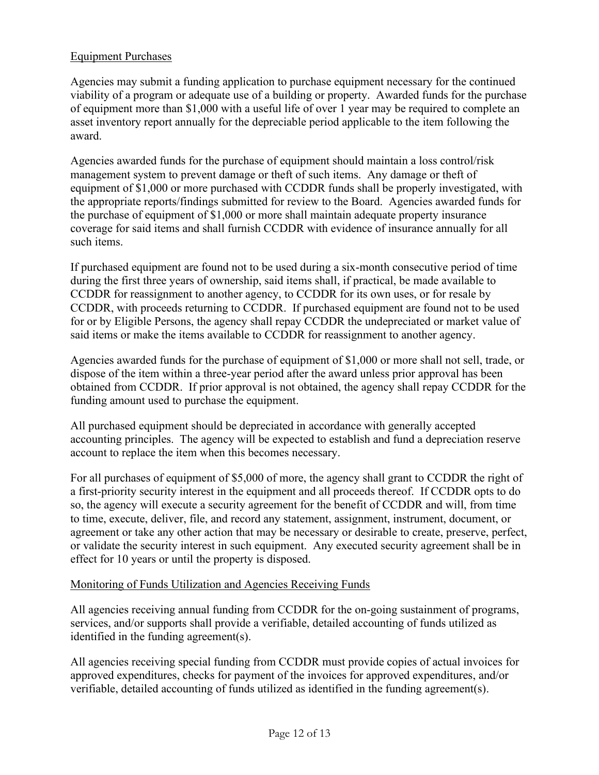# Equipment Purchases

Agencies may submit a funding application to purchase equipment necessary for the continued viability of a program or adequate use of a building or property. Awarded funds for the purchase of equipment more than \$1,000 with a useful life of over 1 year may be required to complete an asset inventory report annually for the depreciable period applicable to the item following the award.

Agencies awarded funds for the purchase of equipment should maintain a loss control/risk management system to prevent damage or theft of such items. Any damage or theft of equipment of \$1,000 or more purchased with CCDDR funds shall be properly investigated, with the appropriate reports/findings submitted for review to the Board. Agencies awarded funds for the purchase of equipment of \$1,000 or more shall maintain adequate property insurance coverage for said items and shall furnish CCDDR with evidence of insurance annually for all such items.

If purchased equipment are found not to be used during a six-month consecutive period of time during the first three years of ownership, said items shall, if practical, be made available to CCDDR for reassignment to another agency, to CCDDR for its own uses, or for resale by CCDDR, with proceeds returning to CCDDR. If purchased equipment are found not to be used for or by Eligible Persons, the agency shall repay CCDDR the undepreciated or market value of said items or make the items available to CCDDR for reassignment to another agency.

Agencies awarded funds for the purchase of equipment of \$1,000 or more shall not sell, trade, or dispose of the item within a three-year period after the award unless prior approval has been obtained from CCDDR. If prior approval is not obtained, the agency shall repay CCDDR for the funding amount used to purchase the equipment.

All purchased equipment should be depreciated in accordance with generally accepted accounting principles. The agency will be expected to establish and fund a depreciation reserve account to replace the item when this becomes necessary.

For all purchases of equipment of \$5,000 of more, the agency shall grant to CCDDR the right of a first-priority security interest in the equipment and all proceeds thereof. If CCDDR opts to do so, the agency will execute a security agreement for the benefit of CCDDR and will, from time to time, execute, deliver, file, and record any statement, assignment, instrument, document, or agreement or take any other action that may be necessary or desirable to create, preserve, perfect, or validate the security interest in such equipment. Any executed security agreement shall be in effect for 10 years or until the property is disposed.

# Monitoring of Funds Utilization and Agencies Receiving Funds

All agencies receiving annual funding from CCDDR for the on-going sustainment of programs, services, and/or supports shall provide a verifiable, detailed accounting of funds utilized as identified in the funding agreement(s).

All agencies receiving special funding from CCDDR must provide copies of actual invoices for approved expenditures, checks for payment of the invoices for approved expenditures, and/or verifiable, detailed accounting of funds utilized as identified in the funding agreement(s).